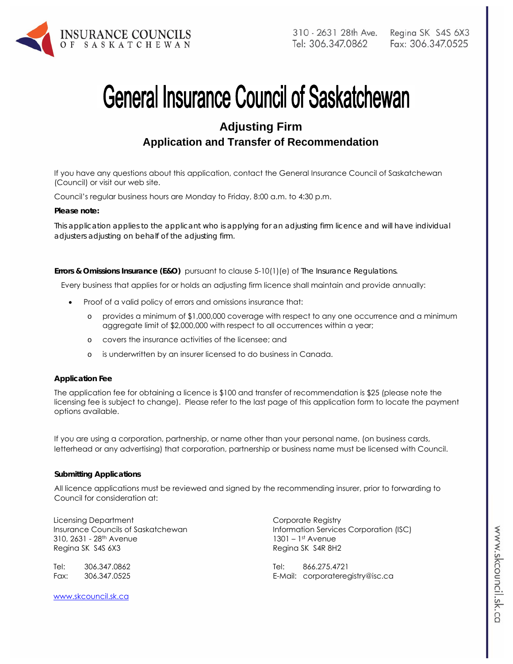

# **General Insurance Council of Saskatchewan**

# **Adjusting Firm Application and Transfer of Recommendation**

If you have any questions about this application, contact the General Insurance Council of Saskatchewan (Council) or visit our web site.

Council's regular business hours are Monday to Friday, 8:00 a.m. to 4:30 p.m.

#### *Please note:*

*This application applies to the applicant who is applying for an adjusting firm licence and will have individual adjusters adjusting on behalf of the adjusting firm.* 

**Errors & Omissions Insurance (E&O)** pursuant to clause 5-10(1)(e) of *The Insurance Regulations.* 

Every business that applies for or holds an adjusting firm licence shall maintain and provide annually:

- Proof of a valid policy of errors and omissions insurance that:
	- o provides a minimum of \$1,000,000 coverage with respect to any one occurrence and a minimum aggregate limit of \$2,000,000 with respect to all occurrences within a year;
	- o covers the insurance activities of the licensee; and
	- o is underwritten by an insurer licensed to do business in Canada.

#### **Application Fee**

The application fee for obtaining a licence is \$100 and transfer of recommendation is \$25 (please note the licensing fee is subject to change). Please refer to the last page of this application form to locate the payment options available.

If you are using a corporation, partnership, or name other than your personal name, (on business cards, letterhead or any advertising) that corporation, partnership or business name must be licensed with Council.

#### **Submitting Applications**

All licence applications must be reviewed and signed by the recommending insurer, prior to forwarding to Council for consideration at:

Licensing Department Insurance Councils of Saskatchewan 310, 2631 - 28th Avenue Regina SK S4S 6X3

Tel: 306.347.0862 Fax: 306.347.0525

www.skcouncil.sk.ca

Corporate Registry Information Services Corporation (ISC) 1301 – 1st Avenue Regina SK S4R 8H2

Tel: 866.275.4721 E-Mail: corporateregistry@isc.ca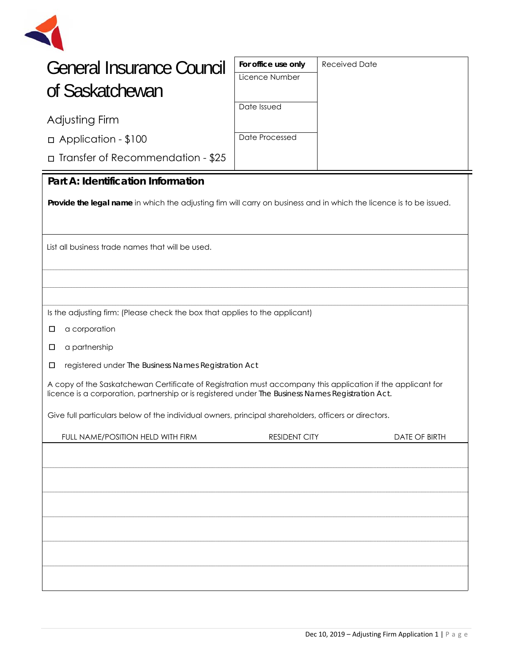

| <b>General Insurance Council</b> |
|----------------------------------|
| of Saskatchewan                  |

| For office use only | Received Date |
|---------------------|---------------|
| Licence Number      |               |
|                     |               |
| Date Issued         |               |
|                     |               |
| Date Processed      |               |
|                     |               |

# Adjusting Firm

□Application - \$100

□Transfer of Recommendation - \$25

## **Part A: Identification Information**

**Provide the legal name** in which the adjusting fim will carry on business and in which the licence is to be issued.

List all business trade names that will be used.

Is the adjusting firm: (Please check the box that applies to the applicant)

- □ a corporation
- $\square$  a partnership
- □ registered under *The Business Names Registration Act*

A copy of the Saskatchewan Certificate of Registration must accompany this application if the applicant for licence is a corporation, partnership or is registered under *The Business Names Registration Act.* 

Give full particulars below of the individual owners, principal shareholders, officers or directors.

| FULL NAME/POSITION HELD WITH FIRM | <b>RESIDENT CITY</b> | DATE OF BIRTH |
|-----------------------------------|----------------------|---------------|
|                                   |                      |               |
|                                   |                      |               |
|                                   |                      |               |
|                                   |                      |               |
|                                   |                      |               |
|                                   |                      |               |
|                                   |                      |               |
|                                   |                      |               |
|                                   |                      |               |
|                                   |                      |               |
|                                   |                      |               |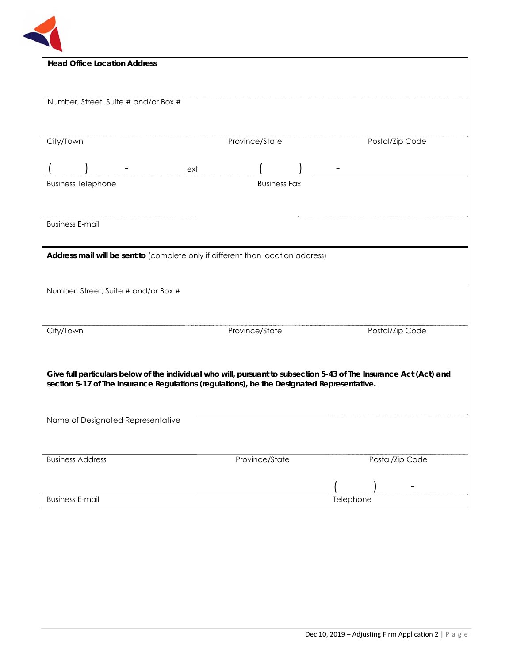

| <b>Head Office Location Address</b>                                                        |                     |                                                                                                                    |  |  |  |
|--------------------------------------------------------------------------------------------|---------------------|--------------------------------------------------------------------------------------------------------------------|--|--|--|
|                                                                                            |                     |                                                                                                                    |  |  |  |
|                                                                                            |                     |                                                                                                                    |  |  |  |
|                                                                                            |                     |                                                                                                                    |  |  |  |
| Number, Street, Suite # and/or Box #                                                       |                     |                                                                                                                    |  |  |  |
|                                                                                            |                     |                                                                                                                    |  |  |  |
|                                                                                            |                     |                                                                                                                    |  |  |  |
|                                                                                            |                     |                                                                                                                    |  |  |  |
| City/Town                                                                                  | Province/State      | Postal/Zip Code                                                                                                    |  |  |  |
|                                                                                            |                     |                                                                                                                    |  |  |  |
|                                                                                            | ext                 |                                                                                                                    |  |  |  |
|                                                                                            |                     |                                                                                                                    |  |  |  |
| <b>Business Telephone</b>                                                                  | <b>Business Fax</b> |                                                                                                                    |  |  |  |
|                                                                                            |                     |                                                                                                                    |  |  |  |
|                                                                                            |                     |                                                                                                                    |  |  |  |
|                                                                                            |                     |                                                                                                                    |  |  |  |
| <b>Business E-mail</b>                                                                     |                     |                                                                                                                    |  |  |  |
|                                                                                            |                     |                                                                                                                    |  |  |  |
|                                                                                            |                     |                                                                                                                    |  |  |  |
| Address mail will be sent to (complete only if different than location address)            |                     |                                                                                                                    |  |  |  |
|                                                                                            |                     |                                                                                                                    |  |  |  |
|                                                                                            |                     |                                                                                                                    |  |  |  |
| Number, Street, Suite # and/or Box #                                                       |                     |                                                                                                                    |  |  |  |
|                                                                                            |                     |                                                                                                                    |  |  |  |
|                                                                                            |                     |                                                                                                                    |  |  |  |
|                                                                                            |                     |                                                                                                                    |  |  |  |
| City/Town                                                                                  | Province/State      | Postal/Zip Code                                                                                                    |  |  |  |
|                                                                                            |                     |                                                                                                                    |  |  |  |
|                                                                                            |                     |                                                                                                                    |  |  |  |
|                                                                                            |                     |                                                                                                                    |  |  |  |
|                                                                                            |                     |                                                                                                                    |  |  |  |
|                                                                                            |                     | Give full particulars below of the individual who will, pursuant to subsection 5-43 of The Insurance Act (Act) and |  |  |  |
| section 5-17 of The Insurance Regulations (regulations), be the Designated Representative. |                     |                                                                                                                    |  |  |  |
|                                                                                            |                     |                                                                                                                    |  |  |  |
|                                                                                            |                     |                                                                                                                    |  |  |  |
|                                                                                            |                     |                                                                                                                    |  |  |  |
| Name of Designated Representative                                                          |                     |                                                                                                                    |  |  |  |
|                                                                                            |                     |                                                                                                                    |  |  |  |
|                                                                                            |                     |                                                                                                                    |  |  |  |
|                                                                                            |                     |                                                                                                                    |  |  |  |
| <b>Business Address</b>                                                                    | Province/State      | Postal/Zip Code                                                                                                    |  |  |  |
|                                                                                            |                     |                                                                                                                    |  |  |  |
|                                                                                            |                     |                                                                                                                    |  |  |  |
|                                                                                            |                     |                                                                                                                    |  |  |  |
| <b>Business E-mail</b>                                                                     |                     | Telephone                                                                                                          |  |  |  |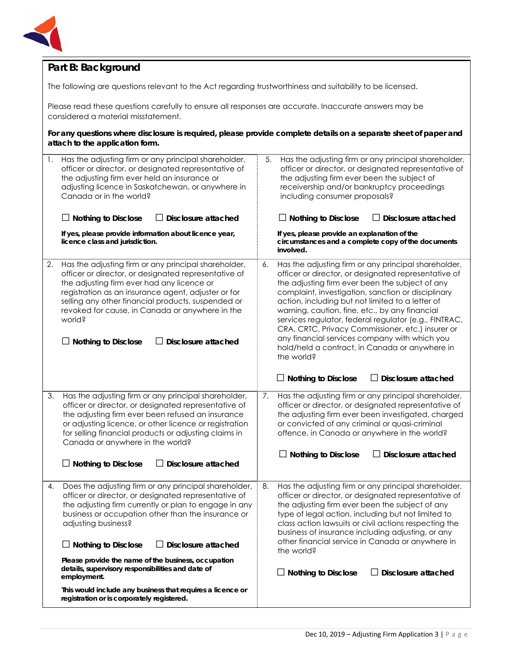

## **Part B: Background**

The following are questions relevant to the Act regarding trustworthiness and suitability to be licensed.

Please read these questions carefully to ensure all responses are accurate. Inaccurate answers may be considered a material misstatement.

**For any questions where disclosure is required, please provide complete details on a separate sheet of paper and attach to the application form.**

| 1. | Has the adjusting firm or any principal shareholder,<br>officer or director, or designated representative of<br>the adjusting firm ever held an insurance or<br>adjusting licence in Saskatchewan, or anywhere in<br>Canada or in the world?<br>$\Box$ Nothing to Disclose<br>Disclosure attached<br>If yes, please provide information about licence year,<br>licence class and jurisdiction.                                                                                                                                                         | 5. | Has the adjusting firm or any principal shareholder,<br>officer or director, or designated representative of<br>the adjusting firm ever been the subject of<br>receivership and/or bankruptcy proceedings<br>including consumer proposals?<br>$\Box$ Nothing to Disclose<br>$\Box$ Disclosure attached<br>If yes, please provide an explanation of the<br>circumstances and a complete copy of the documents<br>involved.                                                                                                                                                                                              |
|----|--------------------------------------------------------------------------------------------------------------------------------------------------------------------------------------------------------------------------------------------------------------------------------------------------------------------------------------------------------------------------------------------------------------------------------------------------------------------------------------------------------------------------------------------------------|----|------------------------------------------------------------------------------------------------------------------------------------------------------------------------------------------------------------------------------------------------------------------------------------------------------------------------------------------------------------------------------------------------------------------------------------------------------------------------------------------------------------------------------------------------------------------------------------------------------------------------|
| 2. | Has the adjusting firm or any principal shareholder,<br>officer or director, or designated representative of<br>the adjusting firm ever had any licence or<br>registration as an insurance agent, adjuster or for<br>selling any other financial products, suspended or<br>revoked for cause, in Canada or anywhere in the<br>world?<br><b>Disclosure attached</b><br><b>Nothing to Disclose</b>                                                                                                                                                       | 6. | Has the adjusting firm or any principal shareholder,<br>officer or director, or designated representative of<br>the adjusting firm ever been the subject of any<br>complaint, investigation, sanction or disciplinary<br>action, including but not limited to a letter of<br>warning, caution, fine, etc., by any financial<br>services regulator, federal regulator (e.g., FINTRAC,<br>CRA, CRTC, Privacy Commissioner, etc.) insurer or<br>any financial services company with which you<br>hold/held a contract, in Canada or anywhere in<br>the world?<br>$\Box$ Disclosure attached<br>$\Box$ Nothing to Disclose |
| 3. | Has the adjusting firm or any principal shareholder,<br>officer or director, or designated representative of<br>the adjusting firm ever been refused an insurance<br>or adjusting licence, or other licence or registration<br>for selling financial products or adjusting claims in<br>Canada or anywhere in the world?<br>$\Box$ Nothing to Disclose<br>$\Box$ Disclosure attached                                                                                                                                                                   | 7. | Has the adjusting firm or any principal shareholder,<br>officer or director, or designated representative of<br>the adjusting firm ever been investigated, charged<br>or convicted of any criminal or quasi-criminal<br>offence, in Canada or anywhere in the world?<br><b>Nothing to Disclose</b><br>Disclosure attached                                                                                                                                                                                                                                                                                              |
| 4. | Does the adjusting firm or any principal shareholder,<br>officer or director, or designated representative of<br>the adjusting firm currently or plan to engage in any<br>business or occupation other than the insurance or<br>adjusting business?<br>$\Box$ Disclosure attached<br>$\Box$ Nothing to Disclose<br>Please provide the name of the business, occupation<br>details, supervisory responsibilities and date of<br>employment.<br>This would include any business that requires a licence or<br>registration or is corporately registered. | 8. | Has the adjusting firm or any principal shareholder,<br>officer or director, or designated representative of<br>the adjusting firm ever been the subject of any<br>type of legal action, including but not limited to<br>class action lawsuits or civil actions respecting the<br>business of insurance including adjusting, or any<br>other financial service in Canada or anywhere in<br>the world?<br>$\Box$ Nothing to Disclose<br><b>Disclosure attached</b>                                                                                                                                                      |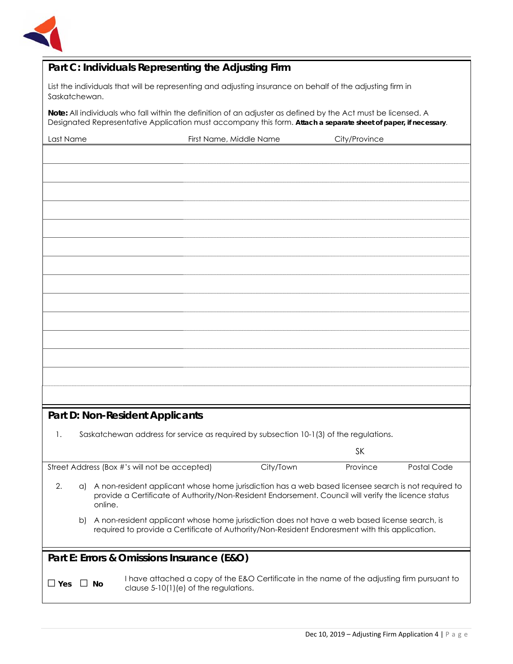

# **Part C: Individuals Representing the Adjusting Firm**

List the individuals that will be representing and adjusting insurance on behalf of the adjusting firm in Saskatchewan.

**Note:** All individuals who fall within the definition of an adjuster as defined by the Act must be licensed. A Designated Representative Application must accompany this form. **Attach a separate sheet of paper, if necessary**.

| Last Name | First Name, Middle Name | City/Province |
|-----------|-------------------------|---------------|
|           |                         |               |
|           |                         |               |
|           |                         |               |
|           |                         |               |
|           |                         |               |
|           |                         |               |
|           |                         |               |
|           |                         |               |
|           |                         |               |
|           |                         |               |
|           |                         |               |
|           |                         |               |
|           |                         |               |
|           |                         |               |
|           |                         |               |
|           |                         |               |

## **Part D: Non-Resident Applicants**

1. Saskatchewan address for service as required by subsection 10-1(3) of the regulations*.*

|                                                                                                                                                                                                                                   |    |                                                                                                                                                                                                 |           | <b>SK</b> |             |
|-----------------------------------------------------------------------------------------------------------------------------------------------------------------------------------------------------------------------------------|----|-------------------------------------------------------------------------------------------------------------------------------------------------------------------------------------------------|-----------|-----------|-------------|
| Street Address (Box #'s will not be accepted)                                                                                                                                                                                     |    |                                                                                                                                                                                                 | City/Town | Province  | Postal Code |
| 2.<br>A non-resident applicant whose home jurisdiction has a web based licensee search is not required to<br>a)<br>provide a Certificate of Authority/Non-Resident Endorsement. Council will verify the licence status<br>online. |    |                                                                                                                                                                                                 |           |           |             |
|                                                                                                                                                                                                                                   | b) | A non-resident applicant whose home jurisdiction does not have a web based license search, is<br>required to provide a Certificate of Authority/Non-Resident Endoresment with this application. |           |           |             |
|                                                                                                                                                                                                                                   |    | Part E: Errors & Omissions Insurance (E&O)                                                                                                                                                      |           |           |             |
| $\Box$ Yes                                                                                                                                                                                                                        |    | I have attached a copy of the E&O Certificate in the name of the adjusting firm pursuant to<br>Nο<br>clause $5-10(1)(e)$ of the regulations.                                                    |           |           |             |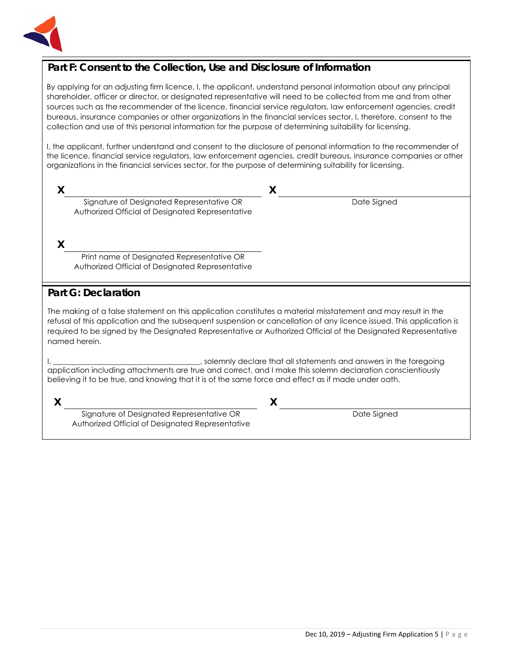

## **Part F: Consent to the Collection, Use and Disclosure of Information**

By applying for an adjusting firm licence, I, the applicant, understand personal information about any principal shareholder, officer or director, or designated representative will need to be collected from me and from other sources such as the recommender of the licence, financial service regulators, law enforcement agencies, credit bureaus, insurance companies or other organizations in the financial services sector. I, therefore, consent to the collection and use of this personal information for the purpose of determining suitability for licensing.

I, the applicant, further understand and consent to the disclosure of personal information to the recommender of the licence, financial service regulators, law enforcement agencies, credit bureaus, insurance companies or other organizations in the financial services sector, for the purpose of determining suitability for licensing.

| Signature of Designated Representative OR<br>Authorized Official of Designated Representative | Date Signed |
|-----------------------------------------------------------------------------------------------|-------------|

**X**

Print name of Designated Representative OR Authorized Official of Designated Representative

## **Part G: Declaration**

The making of a false statement on this application constitutes a material misstatement and may result in the refusal of this application and the subsequent suspension or cancellation of any licence issued. This application is required to be signed by the Designated Representative or Authorized Official of the Designated Representative named herein.

I, \_\_\_\_\_\_\_\_\_\_\_\_\_\_\_\_\_\_\_\_\_\_\_\_\_\_\_\_\_\_\_\_\_\_\_\_\_\_\_, solemnly declare that all statements and answers in the foregoing application including attachments are true and correct, and I make this solemn declaration conscientiously believing it to be true, and knowing that it is of the same force and effect as if made under oath.

**X X**

Signature of Designated Representative OR Authorized Official of Designated Representative

Date Signed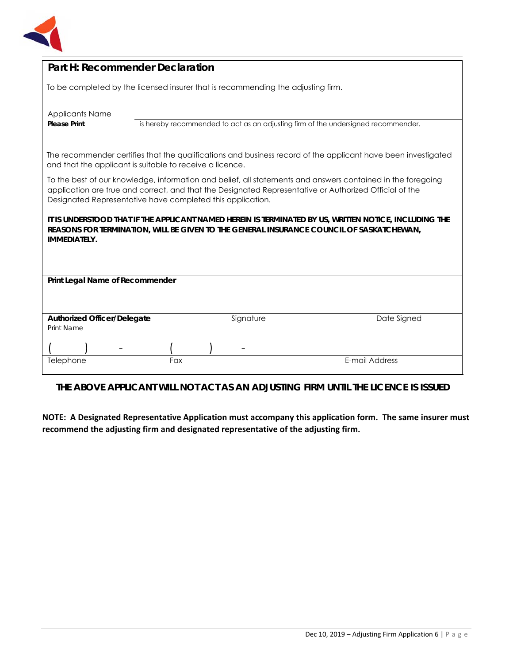

## **Part H: Recommender Declaration**

To be completed by the licensed insurer that is recommending the adjusting firm.

| <b>Applicants Name</b> |
|------------------------|
| <b>Please Print</b>    |

is hereby recommended to act as an adjusting firm of the undersigned recommender.

The recommender certifies that the qualifications and business record of the applicant have been investigated and that the applicant is suitable to receive a licence.

To the best of our knowledge, information and belief, all statements and answers contained in the foregoing application are true and correct, and that the Designated Representative or Authorized Official of the Designated Representative have completed this application.

**IT IS UNDERSTOOD THAT IF THE APPLICANT NAMED HEREIN IS TERMINATED BY US, WRITTEN NOTICE, INCLUDING THE REASONS FOR TERMINATION, WILL BE GIVEN TO THE GENERAL INSURANCE COUNCIL OF SASKATCHEWAN, IMMEDIATELY.** 

| Print Legal Name of Recommender    |     |  |           |                |
|------------------------------------|-----|--|-----------|----------------|
|                                    |     |  |           |                |
|                                    |     |  |           |                |
|                                    |     |  |           |                |
| <b>Authorized Officer/Delegate</b> |     |  | Signature | Date Signed    |
| Print Name                         |     |  |           |                |
|                                    |     |  |           |                |
|                                    |     |  | -         |                |
|                                    |     |  |           | E-mail Address |
| Telephone                          | Fax |  |           |                |

**THE ABOVE APPLICANT WILL NOT ACT AS AN ADJUSTING FIRM UNTIL THE LICENCE IS ISSUED**

**NOTE: A Designated Representative Application must accompany this application form. The same insurer must recommend the adjusting firm and designated representative of the adjusting firm.**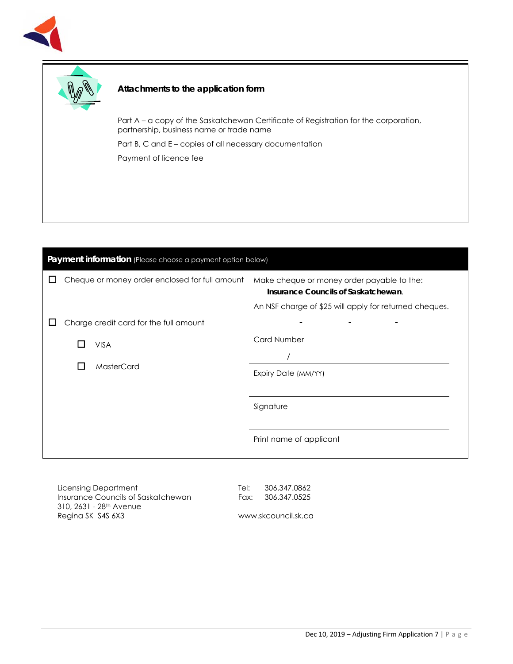



#### **Attachments to the application form**

Part A – a copy of the Saskatchewan Certificate of Registration for the corporation, partnership, business name or trade name

Part B, C and E – copies of all necessary documentation

Payment of licence fee

| Payment information (Please choose a payment option below) |  |                                                |                                                                                                                                             |  |  |
|------------------------------------------------------------|--|------------------------------------------------|---------------------------------------------------------------------------------------------------------------------------------------------|--|--|
|                                                            |  | Cheque or money order enclosed for full amount | Make cheque or money order payable to the:<br>Insurance Councils of Saskatchewan.<br>An NSF charge of \$25 will apply for returned cheques. |  |  |
|                                                            |  | Charge credit card for the full amount         |                                                                                                                                             |  |  |
|                                                            |  | <b>VISA</b><br>MasterCard                      | <b>Card Number</b>                                                                                                                          |  |  |
|                                                            |  |                                                | Expiry Date (MM/YY)                                                                                                                         |  |  |
|                                                            |  |                                                | Signature                                                                                                                                   |  |  |
|                                                            |  |                                                | Print name of applicant                                                                                                                     |  |  |

Licensing Department Insurance Councils of Saskatchewan 310, 2631 - 28th Avenue Regina SK S4S 6X3

Tel: 306.347.0862 Fax: 306.347.0525

www.skcouncil.sk.ca